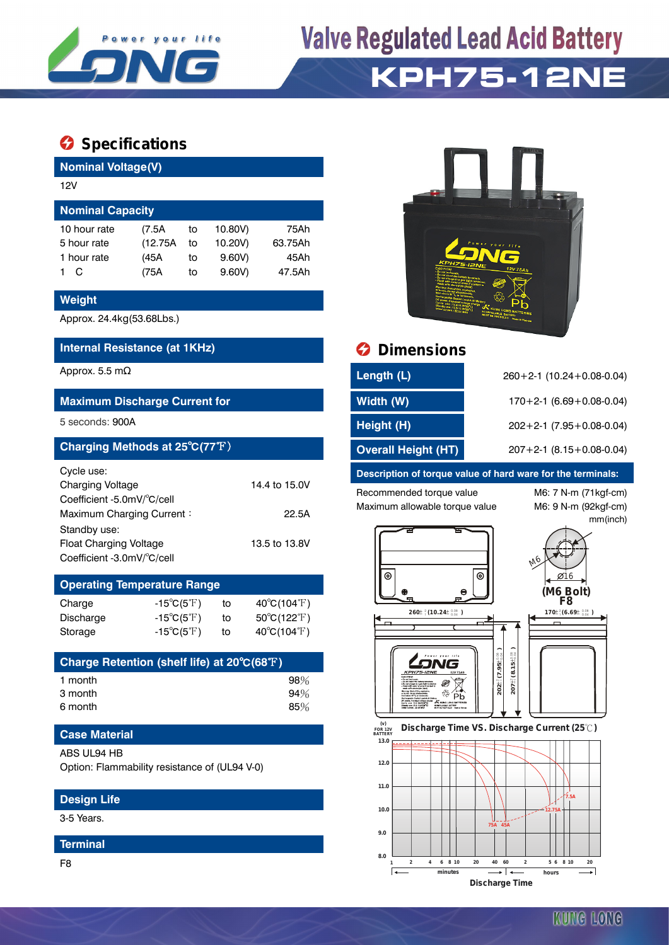

# **Valve Regulated Lead Acid Battery KPH75-12NE**

## **Specifications**

| <b>Nominal Voltage(V)</b> |          |    |         |         |  |  |  |
|---------------------------|----------|----|---------|---------|--|--|--|
| 12V                       |          |    |         |         |  |  |  |
| <b>Nominal Capacity</b>   |          |    |         |         |  |  |  |
| 10 hour rate              | (7.5A)   | to | 10.80V) | 75Ah    |  |  |  |
| 5 hour rate               | (12.75A) | to | 10.20V) | 63.75Ah |  |  |  |
| 1 hour rate               | (45A     | to | 9.60V   | 45Ah    |  |  |  |
| C                         | (75A     | to | 9.60V   | 47.5Ah  |  |  |  |

#### **Weight**

Approx. 24.4kg(53.68Lbs.)

#### **Internal Resistance (at 1KHz) Dimensions**

### **Maximum Discharge Current for**

| Charging Methods at 25°C(77°F) |               |
|--------------------------------|---------------|
| Cycle use:                     |               |
| <b>Charging Voltage</b>        | 14.4 to 15.0V |
| Coefficient -5.0mV/°C/cell     |               |
| Maximum Charging Current:      | 22.5A         |
| Standby use:                   |               |
| <b>Float Charging Voltage</b>  | 13.5 to 13.8V |
| Coefficient -3.0mV/°C/cell     |               |
|                                |               |

| <b>Operating Temperature Range</b> |                            |    |                             |  |  |  |  |  |
|------------------------------------|----------------------------|----|-----------------------------|--|--|--|--|--|
| Charge                             | $-15^{\circ}C(5^{\circ}F)$ | to | $40^{\circ}C(104^{\circ}F)$ |  |  |  |  |  |
| Discharge                          | $-15^{\circ}C(5^{\circ}F)$ | to | $50^{\circ}C(122^{\circ}F)$ |  |  |  |  |  |
| Storage                            | $-15^{\circ}C(5^{\circ}F)$ | to | $40^{\circ}C(104^{\circ}F)$ |  |  |  |  |  |

| Charge Retention (shelf life) at 20°C(68°F) |        |
|---------------------------------------------|--------|
| 1 month                                     | $98\%$ |
| 3 month                                     | 94%    |
| 6 month                                     | 85%    |

#### **Case Material**

ABS UL94 HB

Option: Flammability resistance of (UL94 V-0)

#### **Design Life**

3-5 Years.

#### **Terminal**

F8



| Approx. 5.5 m $\Omega$                         | Length (L)                 | $260+2-1$ (10.24+0.08-0.04)  |
|------------------------------------------------|----------------------------|------------------------------|
| <b>Maximum Discharge Current for</b>           | Width (W)                  | $170+2-1$ (6.69 + 0.08-0.04) |
| 5 seconds: 900A                                | Height (H)                 | $202+2-1$ (7.95 + 0.08-0.04) |
| Charging Methods at $25^{\circ}C(77^{\circ}F)$ | <b>Overall Height (HT)</b> | $207+2-1$ (8.15+0.08-0.04)   |

#### **Description of torque value of hard ware for the terminals:**

Recommended torque value M6: 7 N-m (71kgf-cm) Maximum allowable torque value M6: 9 N-m (92kgf-cm)

mm(inch)